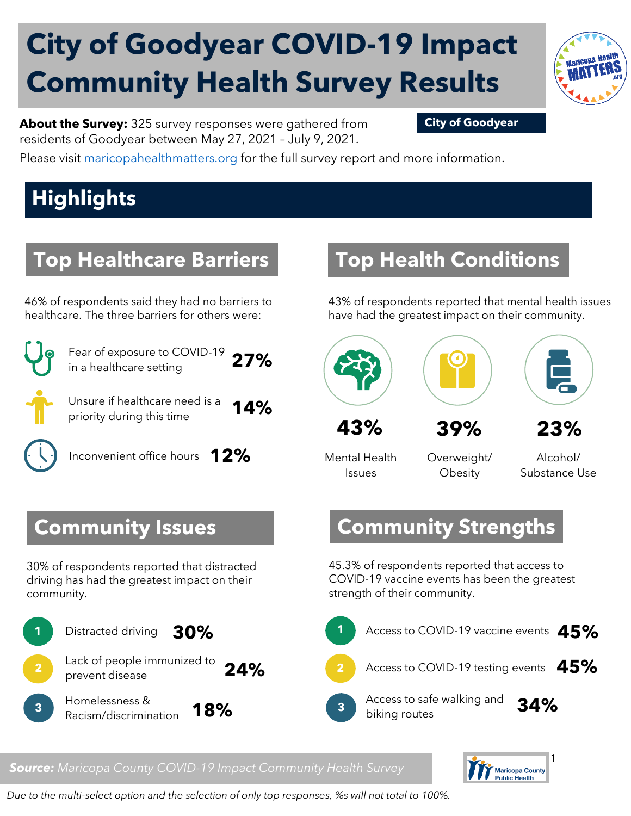# **City of Goodyear COVID-19 Impact Community Health Survey Results**



**About the Survey:** 325 survey responses were gathered from **City of Goodyear** residents of Goodyear between May 27, 2021 – July 9, 2021.

Please visit [maricopahealthmatters.org](https://www.maricopa.gov/5100/Health-Data-Maricopa-Health-Matters) for the full survey report and more information.

## **Highlights**

### **Top Healthcare Barriers**

46% of respondents said they had no barriers to healthcare. The three barriers for others were:



Fear of exposure to COVID-19 in a healthcare setting **27%** 

Unsure if healthcare need is a priority during this time **14%**

Inconvenient office hours **12%**

## **Top Health Conditions**

43% of respondents reported that mental health issues have had the greatest impact on their community.



Mental Health Issues

Overweight/ **Obesity** 

Alcohol/ Substance Use

#### **Community Strengths**

45.3% of respondents reported that access to COVID-19 vaccine events has been the greatest strength of their community.





#### **Community Issues**

30% of respondents reported that distracted driving has had the greatest impact on their community.



#### *Source: Maricopa County COVID-19 Impact Community Health Survey*

*Due to the multi-select option and the selection of only top responses, %s will not total to 100%.*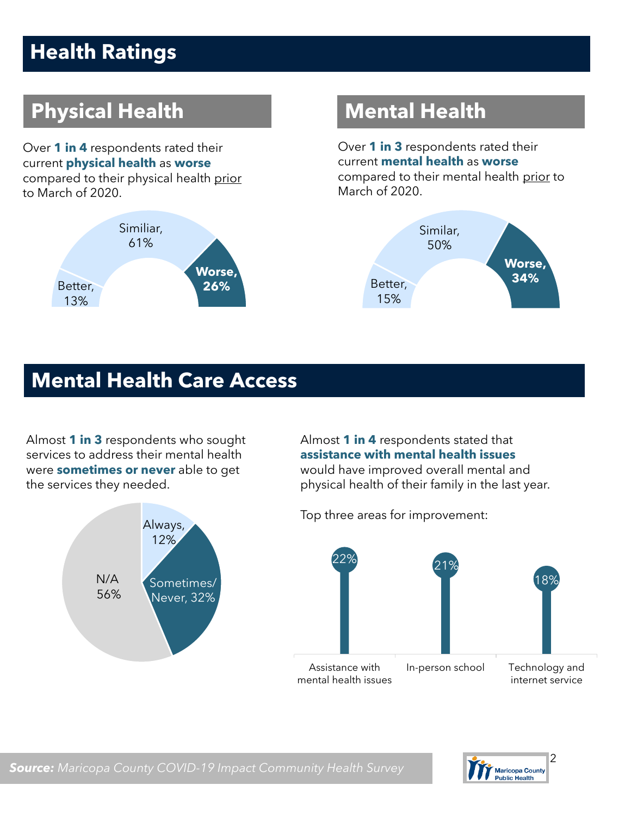## **Health Ratings**

## **Physical Health Mental Health**

Over **1 in 4** respondents rated their current **physical health** as **worse** compared to their physical health prior to March of 2020.



Over **1 in 3** respondents rated their current **mental health** as **worse**  compared to their mental health prior to March of 2020.



#### **Mental Health Care Access**

Almost **1 in 3** respondents who sought services to address their mental health were **sometimes or never** able to get the services they needed.



Almost **1 in 4** respondents stated that **assistance with mental health issues** would have improved overall mental and physical health of their family in the last year.

Top three areas for improvement:



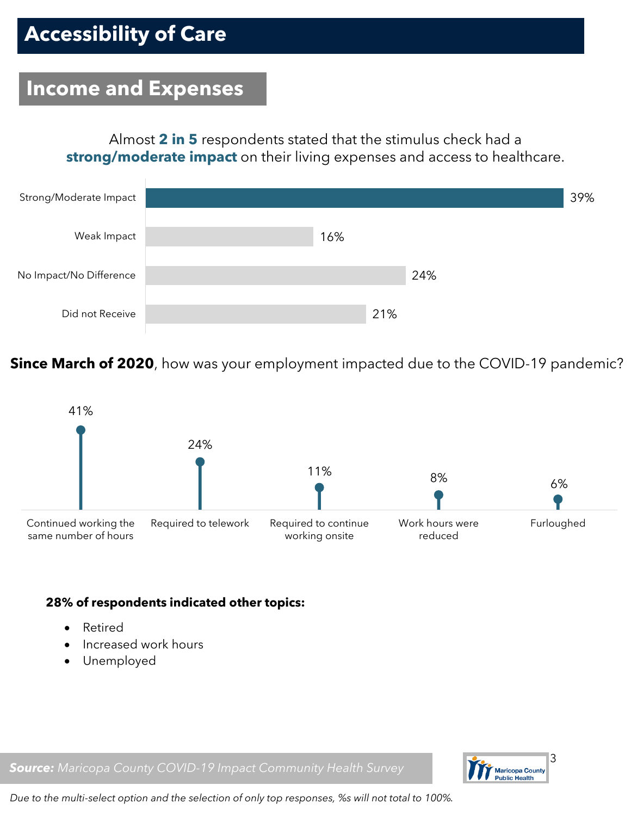#### **Income and Expenses**

Almost **2 in 5** respondents stated that the stimulus check had a **strong/moderate impact** on their living expenses and access to healthcare.



**Since March of 2020**, how was your employment impacted due to the COVID-19 pandemic?



#### **28% of respondents indicated other topics:**

- Retired
- Increased work hours
- Unemployed

Maricopa County<br>Public Health

*Source: Maricopa County COVID-19 Impact Community Health Survey*

*Due to the multi-select option and the selection of only top responses, %s will not total to 100%.*